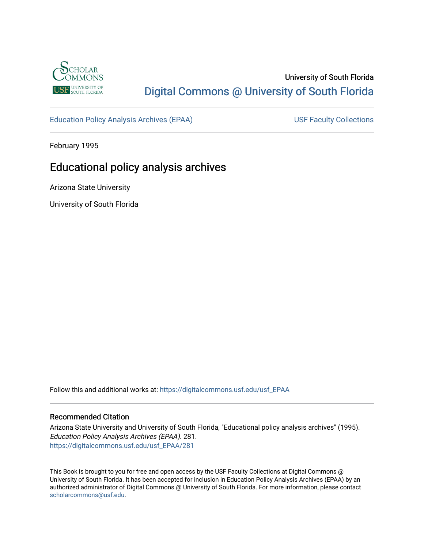

# University of South Florida [Digital Commons @ University of South Florida](https://digitalcommons.usf.edu/)

[Education Policy Analysis Archives \(EPAA\)](https://digitalcommons.usf.edu/usf_EPAA) USF Faculty Collections

February 1995

# Educational policy analysis archives

Arizona State University

University of South Florida

Follow this and additional works at: [https://digitalcommons.usf.edu/usf\\_EPAA](https://digitalcommons.usf.edu/usf_EPAA?utm_source=digitalcommons.usf.edu%2Fusf_EPAA%2F281&utm_medium=PDF&utm_campaign=PDFCoverPages)

#### Recommended Citation

Arizona State University and University of South Florida, "Educational policy analysis archives" (1995). Education Policy Analysis Archives (EPAA). 281. [https://digitalcommons.usf.edu/usf\\_EPAA/281](https://digitalcommons.usf.edu/usf_EPAA/281?utm_source=digitalcommons.usf.edu%2Fusf_EPAA%2F281&utm_medium=PDF&utm_campaign=PDFCoverPages)

This Book is brought to you for free and open access by the USF Faculty Collections at Digital Commons @ University of South Florida. It has been accepted for inclusion in Education Policy Analysis Archives (EPAA) by an authorized administrator of Digital Commons @ University of South Florida. For more information, please contact [scholarcommons@usf.edu.](mailto:scholarcommons@usf.edu)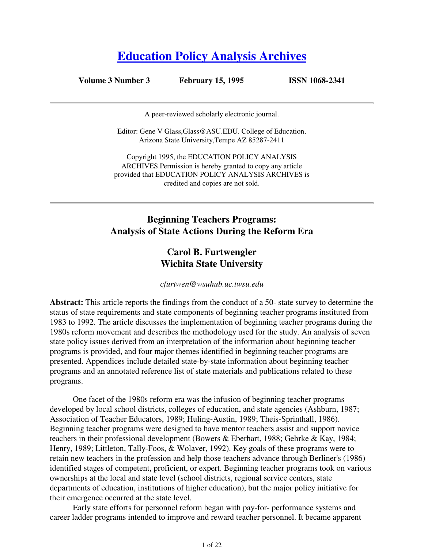# **Education Policy Analysis Archives**

**Volume 3 Number 3 February 15, 1995 ISSN 1068-2341**

A peer-reviewed scholarly electronic journal.

Editor: Gene V Glass,Glass@ASU.EDU. College of Education, Arizona State University,Tempe AZ 85287-2411

Copyright 1995, the EDUCATION POLICY ANALYSIS ARCHIVES.Permission is hereby granted to copy any article provided that EDUCATION POLICY ANALYSIS ARCHIVES is credited and copies are not sold.

# **Beginning Teachers Programs: Analysis of State Actions During the Reform Era**

# **Carol B. Furtwengler Wichita State University**

*cfurtwen@wsuhub.uc.twsu.edu*

**Abstract:** This article reports the findings from the conduct of a 50- state survey to determine the status of state requirements and state components of beginning teacher programs instituted from 1983 to 1992. The article discusses the implementation of beginning teacher programs during the 1980s reform movement and describes the methodology used for the study. An analysis of seven state policy issues derived from an interpretation of the information about beginning teacher programs is provided, and four major themes identified in beginning teacher programs are presented. Appendices include detailed state-by-state information about beginning teacher programs and an annotated reference list of state materials and publications related to these programs.

 One facet of the 1980s reform era was the infusion of beginning teacher programs developed by local school districts, colleges of education, and state agencies (Ashburn, 1987; Association of Teacher Educators, 1989; Huling-Austin, 1989; Theis-Sprinthall, 1986). Beginning teacher programs were designed to have mentor teachers assist and support novice teachers in their professional development (Bowers & Eberhart, 1988; Gehrke & Kay, 1984; Henry, 1989; Littleton, Tally-Foos, & Wolaver, 1992). Key goals of these programs were to retain new teachers in the profession and help those teachers advance through Berliner's (1986) identified stages of competent, proficient, or expert. Beginning teacher programs took on various ownerships at the local and state level (school districts, regional service centers, state departments of education, institutions of higher education), but the major policy initiative for their emergence occurred at the state level.

 Early state efforts for personnel reform began with pay-for- performance systems and career ladder programs intended to improve and reward teacher personnel. It became apparent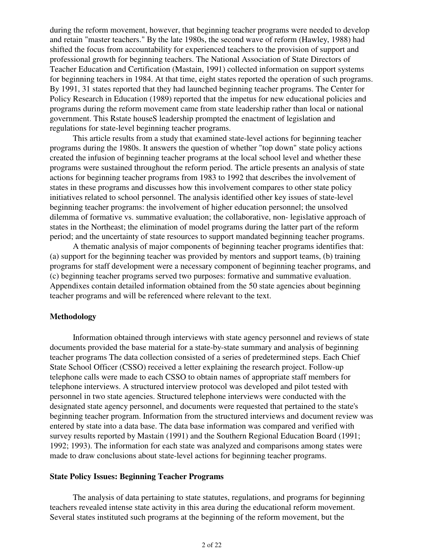during the reform movement, however, that beginning teacher programs were needed to develop and retain "master teachers." By the late 1980s, the second wave of reform (Hawley, 1988) had shifted the focus from accountability for experienced teachers to the provision of support and professional growth for beginning teachers. The National Association of State Directors of Teacher Education and Certification (Mastain, 1991) collected information on support systems for beginning teachers in 1984. At that time, eight states reported the operation of such programs. By 1991, 31 states reported that they had launched beginning teacher programs. The Center for Policy Research in Education (1989) reported that the impetus for new educational policies and programs during the reform movement came from state leadership rather than local or national government. This Rstate houseS leadership prompted the enactment of legislation and regulations for state-level beginning teacher programs.

 This article results from a study that examined state-level actions for beginning teacher programs during the 1980s. It answers the question of whether "top down" state policy actions created the infusion of beginning teacher programs at the local school level and whether these programs were sustained throughout the reform period. The article presents an analysis of state actions for beginning teacher programs from 1983 to 1992 that describes the involvement of states in these programs and discusses how this involvement compares to other state policy initiatives related to school personnel. The analysis identified other key issues of state-level beginning teacher programs: the involvement of higher education personnel; the unsolved dilemma of formative vs. summative evaluation; the collaborative, non- legislative approach of states in the Northeast; the elimination of model programs during the latter part of the reform period; and the uncertainty of state resources to support mandated beginning teacher programs.

 A thematic analysis of major components of beginning teacher programs identifies that: (a) support for the beginning teacher was provided by mentors and support teams, (b) training programs for staff development were a necessary component of beginning teacher programs, and (c) beginning teacher programs served two purposes: formative and summative evaluation. Appendixes contain detailed information obtained from the 50 state agencies about beginning teacher programs and will be referenced where relevant to the text.

#### **Methodology**

 Information obtained through interviews with state agency personnel and reviews of state documents provided the base material for a state-by-state summary and analysis of beginning teacher programs The data collection consisted of a series of predetermined steps. Each Chief State School Officer (CSSO) received a letter explaining the research project. Follow-up telephone calls were made to each CSSO to obtain names of appropriate staff members for telephone interviews. A structured interview protocol was developed and pilot tested with personnel in two state agencies. Structured telephone interviews were conducted with the designated state agency personnel, and documents were requested that pertained to the state's beginning teacher program. Information from the structured interviews and document review was entered by state into a data base. The data base information was compared and verified with survey results reported by Mastain (1991) and the Southern Regional Education Board (1991; 1992; 1993). The information for each state was analyzed and comparisons among states were made to draw conclusions about state-level actions for beginning teacher programs.

#### **State Policy Issues: Beginning Teacher Programs**

 The analysis of data pertaining to state statutes, regulations, and programs for beginning teachers revealed intense state activity in this area during the educational reform movement. Several states instituted such programs at the beginning of the reform movement, but the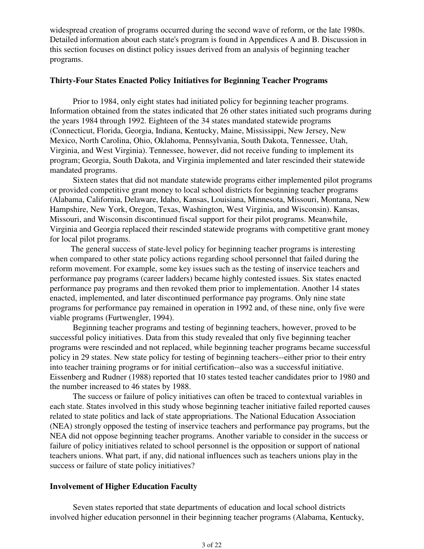widespread creation of programs occurred during the second wave of reform, or the late 1980s. Detailed information about each state's program is found in Appendices A and B. Discussion in this section focuses on distinct policy issues derived from an analysis of beginning teacher programs.

### **Thirty-Four States Enacted Policy Initiatives for Beginning Teacher Programs**

 Prior to 1984, only eight states had initiated policy for beginning teacher programs. Information obtained from the states indicated that 26 other states initiated such programs during the years 1984 through 1992. Eighteen of the 34 states mandated statewide programs (Connecticut, Florida, Georgia, Indiana, Kentucky, Maine, Mississippi, New Jersey, New Mexico, North Carolina, Ohio, Oklahoma, Pennsylvania, South Dakota, Tennessee, Utah, Virginia, and West Virginia). Tennessee, however, did not receive funding to implement its program; Georgia, South Dakota, and Virginia implemented and later rescinded their statewide mandated programs.

 Sixteen states that did not mandate statewide programs either implemented pilot programs or provided competitive grant money to local school districts for beginning teacher programs (Alabama, California, Delaware, Idaho, Kansas, Louisiana, Minnesota, Missouri, Montana, New Hampshire, New York, Oregon, Texas, Washington, West Virginia, and Wisconsin). Kansas, Missouri, and Wisconsin discontinued fiscal support for their pilot programs. Meanwhile, Virginia and Georgia replaced their rescinded statewide programs with competitive grant money for local pilot programs.

The general success of state-level policy for beginning teacher programs is interesting when compared to other state policy actions regarding school personnel that failed during the reform movement. For example, some key issues such as the testing of inservice teachers and performance pay programs (career ladders) became highly contested issues. Six states enacted performance pay programs and then revoked them prior to implementation. Another 14 states enacted, implemented, and later discontinued performance pay programs. Only nine state programs for performance pay remained in operation in 1992 and, of these nine, only five were viable programs (Furtwengler, 1994).

 Beginning teacher programs and testing of beginning teachers, however, proved to be successful policy initiatives. Data from this study revealed that only five beginning teacher programs were rescinded and not replaced, while beginning teacher programs became successful policy in 29 states. New state policy for testing of beginning teachers--either prior to their entry into teacher training programs or for initial certification--also was a successful initiative. Eissenberg and Rudner (1988) reported that 10 states tested teacher candidates prior to 1980 and the number increased to 46 states by 1988.

 The success or failure of policy initiatives can often be traced to contextual variables in each state. States involved in this study whose beginning teacher initiative failed reported causes related to state politics and lack of state appropriations. The National Education Association (NEA) strongly opposed the testing of inservice teachers and performance pay programs, but the NEA did not oppose beginning teacher programs. Another variable to consider in the success or failure of policy initiatives related to school personnel is the opposition or support of national teachers unions. What part, if any, did national influences such as teachers unions play in the success or failure of state policy initiatives?

#### **Involvement of Higher Education Faculty**

 Seven states reported that state departments of education and local school districts involved higher education personnel in their beginning teacher programs (Alabama, Kentucky,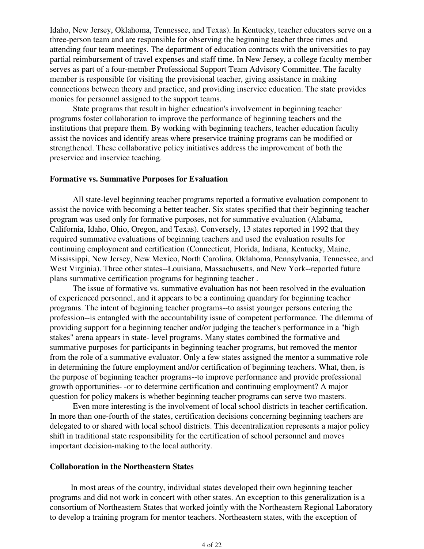Idaho, New Jersey, Oklahoma, Tennessee, and Texas). In Kentucky, teacher educators serve on a three-person team and are responsible for observing the beginning teacher three times and attending four team meetings. The department of education contracts with the universities to pay partial reimbursement of travel expenses and staff time. In New Jersey, a college faculty member serves as part of a four-member Professional Support Team Advisory Committee. The faculty member is responsible for visiting the provisional teacher, giving assistance in making connections between theory and practice, and providing inservice education. The state provides monies for personnel assigned to the support teams.

 State programs that result in higher education's involvement in beginning teacher programs foster collaboration to improve the performance of beginning teachers and the institutions that prepare them. By working with beginning teachers, teacher education faculty assist the novices and identify areas where preservice training programs can be modified or strengthened. These collaborative policy initiatives address the improvement of both the preservice and inservice teaching.

#### **Formative vs. Summative Purposes for Evaluation**

 All state-level beginning teacher programs reported a formative evaluation component to assist the novice with becoming a better teacher. Six states specified that their beginning teacher program was used only for formative purposes, not for summative evaluation (Alabama, California, Idaho, Ohio, Oregon, and Texas). Conversely, 13 states reported in 1992 that they required summative evaluations of beginning teachers and used the evaluation results for continuing employment and certification (Connecticut, Florida, Indiana, Kentucky, Maine, Mississippi, New Jersey, New Mexico, North Carolina, Oklahoma, Pennsylvania, Tennessee, and West Virginia). Three other states--Louisiana, Massachusetts, and New York--reported future plans summative certification programs for beginning teacher .

 The issue of formative vs. summative evaluation has not been resolved in the evaluation of experienced personnel, and it appears to be a continuing quandary for beginning teacher programs. The intent of beginning teacher programs--to assist younger persons entering the profession--is entangled with the accountability issue of competent performance. The dilemma of providing support for a beginning teacher and/or judging the teacher's performance in a "high stakes" arena appears in state- level programs. Many states combined the formative and summative purposes for participants in beginning teacher programs, but removed the mentor from the role of a summative evaluator. Only a few states assigned the mentor a summative role in determining the future employment and/or certification of beginning teachers. What, then, is the purpose of beginning teacher programs--to improve performance and provide professional growth opportunities- -or to determine certification and continuing employment? A major question for policy makers is whether beginning teacher programs can serve two masters.

 Even more interesting is the involvement of local school districts in teacher certification. In more than one-fourth of the states, certification decisions concerning beginning teachers are delegated to or shared with local school districts. This decentralization represents a major policy shift in traditional state responsibility for the certification of school personnel and moves important decision-making to the local authority.

#### **Collaboration in the Northeastern States**

In most areas of the country, individual states developed their own beginning teacher programs and did not work in concert with other states. An exception to this generalization is a consortium of Northeastern States that worked jointly with the Northeastern Regional Laboratory to develop a training program for mentor teachers. Northeastern states, with the exception of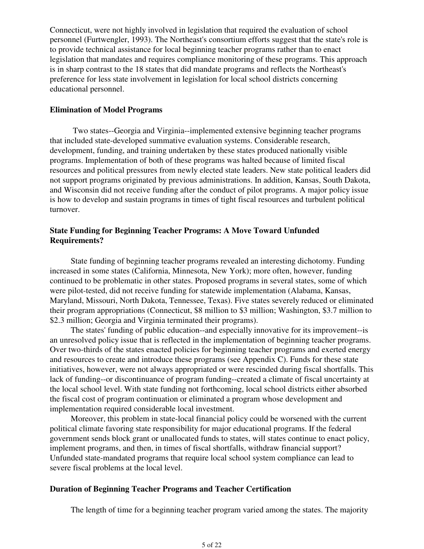Connecticut, were not highly involved in legislation that required the evaluation of school personnel (Furtwengler, 1993). The Northeast's consortium efforts suggest that the state's role is to provide technical assistance for local beginning teacher programs rather than to enact legislation that mandates and requires compliance monitoring of these programs. This approach is in sharp contrast to the 18 states that did mandate programs and reflects the Northeast's preference for less state involvement in legislation for local school districts concerning educational personnel.

### **Elimination of Model Programs**

 Two states--Georgia and Virginia--implemented extensive beginning teacher programs that included state-developed summative evaluation systems. Considerable research, development, funding, and training undertaken by these states produced nationally visible programs. Implementation of both of these programs was halted because of limited fiscal resources and political pressures from newly elected state leaders. New state political leaders did not support programs originated by previous administrations. In addition, Kansas, South Dakota, and Wisconsin did not receive funding after the conduct of pilot programs. A major policy issue is how to develop and sustain programs in times of tight fiscal resources and turbulent political turnover.

# **State Funding for Beginning Teacher Programs: A Move Toward Unfunded Requirements?**

State funding of beginning teacher programs revealed an interesting dichotomy. Funding increased in some states (California, Minnesota, New York); more often, however, funding continued to be problematic in other states. Proposed programs in several states, some of which were pilot-tested, did not receive funding for statewide implementation (Alabama, Kansas, Maryland, Missouri, North Dakota, Tennessee, Texas). Five states severely reduced or eliminated their program appropriations (Connecticut, \$8 million to \$3 million; Washington, \$3.7 million to \$2.3 million; Georgia and Virginia terminated their programs).

The states' funding of public education--and especially innovative for its improvement--is an unresolved policy issue that is reflected in the implementation of beginning teacher programs. Over two-thirds of the states enacted policies for beginning teacher programs and exerted energy and resources to create and introduce these programs (see Appendix C). Funds for these state initiatives, however, were not always appropriated or were rescinded during fiscal shortfalls. This lack of funding--or discontinuance of program funding--created a climate of fiscal uncertainty at the local school level. With state funding not forthcoming, local school districts either absorbed the fiscal cost of program continuation or eliminated a program whose development and implementation required considerable local investment.

Moreover, this problem in state-local financial policy could be worsened with the current political climate favoring state responsibility for major educational programs. If the federal government sends block grant or unallocated funds to states, will states continue to enact policy, implement programs, and then, in times of fiscal shortfalls, withdraw financial support? Unfunded state-mandated programs that require local school system compliance can lead to severe fiscal problems at the local level.

# **Duration of Beginning Teacher Programs and Teacher Certification**

The length of time for a beginning teacher program varied among the states. The majority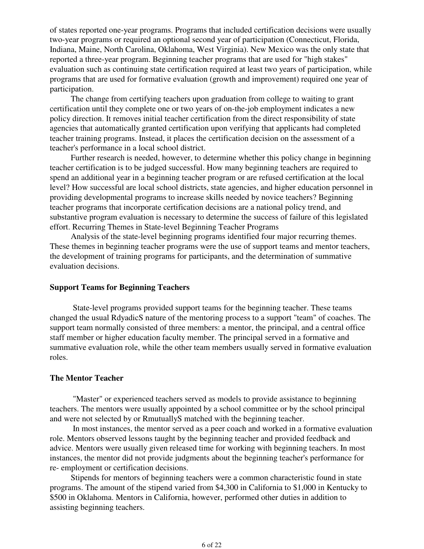of states reported one-year programs. Programs that included certification decisions were usually two-year programs or required an optional second year of participation (Connecticut, Florida, Indiana, Maine, North Carolina, Oklahoma, West Virginia). New Mexico was the only state that reported a three-year program. Beginning teacher programs that are used for "high stakes" evaluation such as continuing state certification required at least two years of participation, while programs that are used for formative evaluation (growth and improvement) required one year of participation.

The change from certifying teachers upon graduation from college to waiting to grant certification until they complete one or two years of on-the-job employment indicates a new policy direction. It removes initial teacher certification from the direct responsibility of state agencies that automatically granted certification upon verifying that applicants had completed teacher training programs. Instead, it places the certification decision on the assessment of a teacher's performance in a local school district.

Further research is needed, however, to determine whether this policy change in beginning teacher certification is to be judged successful. How many beginning teachers are required to spend an additional year in a beginning teacher program or are refused certification at the local level? How successful are local school districts, state agencies, and higher education personnel in providing developmental programs to increase skills needed by novice teachers? Beginning teacher programs that incorporate certification decisions are a national policy trend, and substantive program evaluation is necessary to determine the success of failure of this legislated effort. Recurring Themes in State-level Beginning Teacher Programs

Analysis of the state-level beginning programs identified four major recurring themes. These themes in beginning teacher programs were the use of support teams and mentor teachers, the development of training programs for participants, and the determination of summative evaluation decisions.

# **Support Teams for Beginning Teachers**

 State-level programs provided support teams for the beginning teacher. These teams changed the usual RdyadicS nature of the mentoring process to a support "team" of coaches. The support team normally consisted of three members: a mentor, the principal, and a central office staff member or higher education faculty member. The principal served in a formative and summative evaluation role, while the other team members usually served in formative evaluation roles.

#### **The Mentor Teacher**

 "Master" or experienced teachers served as models to provide assistance to beginning teachers. The mentors were usually appointed by a school committee or by the school principal and were not selected by or RmutuallyS matched with the beginning teacher.

 In most instances, the mentor served as a peer coach and worked in a formative evaluation role. Mentors observed lessons taught by the beginning teacher and provided feedback and advice. Mentors were usually given released time for working with beginning teachers. In most instances, the mentor did not provide judgments about the beginning teacher's performance for re- employment or certification decisions.

Stipends for mentors of beginning teachers were a common characteristic found in state programs. The amount of the stipend varied from \$4,300 in California to \$1,000 in Kentucky to \$500 in Oklahoma. Mentors in California, however, performed other duties in addition to assisting beginning teachers.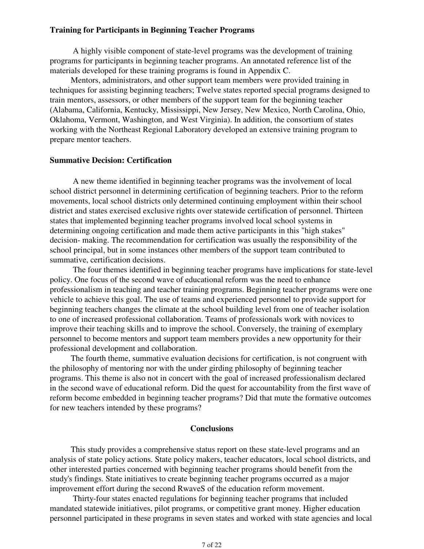#### **Training for Participants in Beginning Teacher Programs**

 A highly visible component of state-level programs was the development of training programs for participants in beginning teacher programs. An annotated reference list of the materials developed for these training programs is found in Appendix C.

Mentors, administrators, and other support team members were provided training in techniques for assisting beginning teachers; Twelve states reported special programs designed to train mentors, assessors, or other members of the support team for the beginning teacher (Alabama, California, Kentucky, Mississippi, New Jersey, New Mexico, North Carolina, Ohio, Oklahoma, Vermont, Washington, and West Virginia). In addition, the consortium of states working with the Northeast Regional Laboratory developed an extensive training program to prepare mentor teachers.

#### **Summative Decision: Certification**

 A new theme identified in beginning teacher programs was the involvement of local school district personnel in determining certification of beginning teachers. Prior to the reform movements, local school districts only determined continuing employment within their school district and states exercised exclusive rights over statewide certification of personnel. Thirteen states that implemented beginning teacher programs involved local school systems in determining ongoing certification and made them active participants in this "high stakes" decision- making. The recommendation for certification was usually the responsibility of the school principal, but in some instances other members of the support team contributed to summative, certification decisions.

 The four themes identified in beginning teacher programs have implications for state-level policy. One focus of the second wave of educational reform was the need to enhance professionalism in teaching and teacher training programs. Beginning teacher programs were one vehicle to achieve this goal. The use of teams and experienced personnel to provide support for beginning teachers changes the climate at the school building level from one of teacher isolation to one of increased professional collaboration. Teams of professionals work with novices to improve their teaching skills and to improve the school. Conversely, the training of exemplary personnel to become mentors and support team members provides a new opportunity for their professional development and collaboration.

The fourth theme, summative evaluation decisions for certification, is not congruent with the philosophy of mentoring nor with the under girding philosophy of beginning teacher programs. This theme is also not in concert with the goal of increased professionalism declared in the second wave of educational reform. Did the quest for accountability from the first wave of reform become embedded in beginning teacher programs? Did that mute the formative outcomes for new teachers intended by these programs?

#### **Conclusions**

This study provides a comprehensive status report on these state-level programs and an analysis of state policy actions. State policy makers, teacher educators, local school districts, and other interested parties concerned with beginning teacher programs should benefit from the study's findings. State initiatives to create beginning teacher programs occurred as a major improvement effort during the second RwaveS of the education reform movement.

 Thirty-four states enacted regulations for beginning teacher programs that included mandated statewide initiatives, pilot programs, or competitive grant money. Higher education personnel participated in these programs in seven states and worked with state agencies and local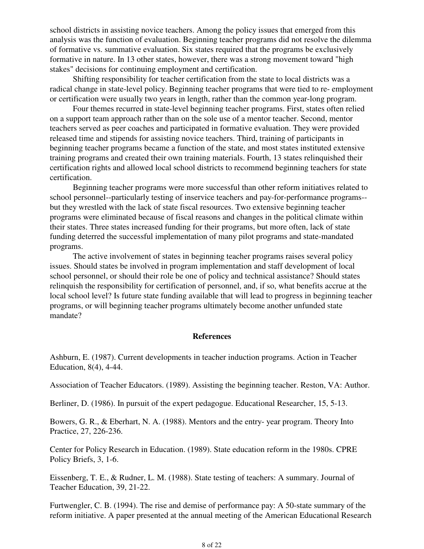school districts in assisting novice teachers. Among the policy issues that emerged from this analysis was the function of evaluation. Beginning teacher programs did not resolve the dilemma of formative vs. summative evaluation. Six states required that the programs be exclusively formative in nature. In 13 other states, however, there was a strong movement toward "high stakes" decisions for continuing employment and certification.

 Shifting responsibility for teacher certification from the state to local districts was a radical change in state-level policy. Beginning teacher programs that were tied to re- employment or certification were usually two years in length, rather than the common year-long program.

 Four themes recurred in state-level beginning teacher programs. First, states often relied on a support team approach rather than on the sole use of a mentor teacher. Second, mentor teachers served as peer coaches and participated in formative evaluation. They were provided released time and stipends for assisting novice teachers. Third, training of participants in beginning teacher programs became a function of the state, and most states instituted extensive training programs and created their own training materials. Fourth, 13 states relinquished their certification rights and allowed local school districts to recommend beginning teachers for state certification.

 Beginning teacher programs were more successful than other reform initiatives related to school personnel--particularly testing of inservice teachers and pay-for-performance programs- but they wrestled with the lack of state fiscal resources. Two extensive beginning teacher programs were eliminated because of fiscal reasons and changes in the political climate within their states. Three states increased funding for their programs, but more often, lack of state funding deterred the successful implementation of many pilot programs and state-mandated programs.

 The active involvement of states in beginning teacher programs raises several policy issues. Should states be involved in program implementation and staff development of local school personnel, or should their role be one of policy and technical assistance? Should states relinquish the responsibility for certification of personnel, and, if so, what benefits accrue at the local school level? Is future state funding available that will lead to progress in beginning teacher programs, or will beginning teacher programs ultimately become another unfunded state mandate?

## **References**

Ashburn, E. (1987). Current developments in teacher induction programs. Action in Teacher Education, 8(4), 4-44.

Association of Teacher Educators. (1989). Assisting the beginning teacher. Reston, VA: Author.

Berliner, D. (1986). In pursuit of the expert pedagogue. Educational Researcher, 15, 5-13.

Bowers, G. R., & Eberhart, N. A. (1988). Mentors and the entry- year program. Theory Into Practice, 27, 226-236.

Center for Policy Research in Education. (1989). State education reform in the 1980s. CPRE Policy Briefs, 3, 1-6.

Eissenberg, T. E., & Rudner, L. M. (1988). State testing of teachers: A summary. Journal of Teacher Education, 39, 21-22.

Furtwengler, C. B. (1994). The rise and demise of performance pay: A 50-state summary of the reform initiative. A paper presented at the annual meeting of the American Educational Research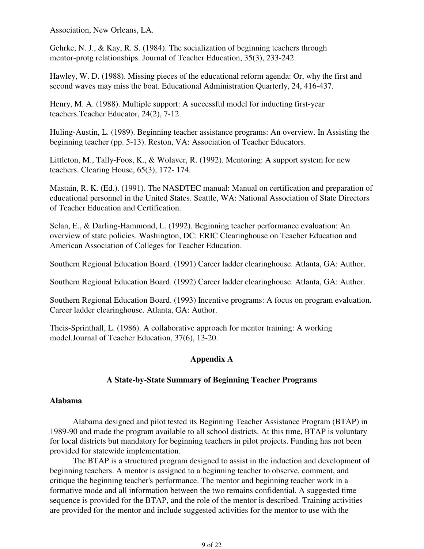Association, New Orleans, LA.

Gehrke, N. J., & Kay, R. S. (1984). The socialization of beginning teachers through mentor-protg relationships. Journal of Teacher Education, 35(3), 233-242.

Hawley, W. D. (1988). Missing pieces of the educational reform agenda: Or, why the first and second waves may miss the boat. Educational Administration Quarterly, 24, 416-437.

Henry, M. A. (1988). Multiple support: A successful model for inducting first-year teachers.Teacher Educator, 24(2), 7-12.

Huling-Austin, L. (1989). Beginning teacher assistance programs: An overview. In Assisting the beginning teacher (pp. 5-13). Reston, VA: Association of Teacher Educators.

Littleton, M., Tally-Foos, K., & Wolaver, R. (1992). Mentoring: A support system for new teachers. Clearing House, 65(3), 172- 174.

Mastain, R. K. (Ed.). (1991). The NASDTEC manual: Manual on certification and preparation of educational personnel in the United States. Seattle, WA: National Association of State Directors of Teacher Education and Certification.

Sclan, E., & Darling-Hammond, L. (1992). Beginning teacher performance evaluation: An overview of state policies. Washington, DC: ERIC Clearinghouse on Teacher Education and American Association of Colleges for Teacher Education.

Southern Regional Education Board. (1991) Career ladder clearinghouse. Atlanta, GA: Author.

Southern Regional Education Board. (1992) Career ladder clearinghouse. Atlanta, GA: Author.

Southern Regional Education Board. (1993) Incentive programs: A focus on program evaluation. Career ladder clearinghouse. Atlanta, GA: Author.

Theis-Sprinthall, L. (1986). A collaborative approach for mentor training: A working model.Journal of Teacher Education, 37(6), 13-20.

# **Appendix A**

# **A State-by-State Summary of Beginning Teacher Programs**

# **Alabama**

 Alabama designed and pilot tested its Beginning Teacher Assistance Program (BTAP) in 1989-90 and made the program available to all school districts. At this time, BTAP is voluntary for local districts but mandatory for beginning teachers in pilot projects. Funding has not been provided for statewide implementation.

 The BTAP is a structured program designed to assist in the induction and development of beginning teachers. A mentor is assigned to a beginning teacher to observe, comment, and critique the beginning teacher's performance. The mentor and beginning teacher work in a formative mode and all information between the two remains confidential. A suggested time sequence is provided for the BTAP, and the role of the mentor is described. Training activities are provided for the mentor and include suggested activities for the mentor to use with the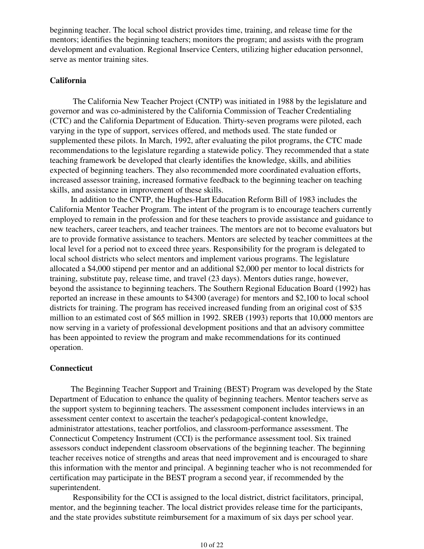beginning teacher. The local school district provides time, training, and release time for the mentors; identifies the beginning teachers; monitors the program; and assists with the program development and evaluation. Regional Inservice Centers, utilizing higher education personnel, serve as mentor training sites.

# **California**

 The California New Teacher Project (CNTP) was initiated in 1988 by the legislature and governor and was co-administered by the California Commission of Teacher Credentialing (CTC) and the California Department of Education. Thirty-seven programs were piloted, each varying in the type of support, services offered, and methods used. The state funded or supplemented these pilots. In March, 1992, after evaluating the pilot programs, the CTC made recommendations to the legislature regarding a statewide policy. They recommended that a state teaching framework be developed that clearly identifies the knowledge, skills, and abilities expected of beginning teachers. They also recommended more coordinated evaluation efforts, increased assessor training, increased formative feedback to the beginning teacher on teaching skills, and assistance in improvement of these skills.

In addition to the CNTP, the Hughes-Hart Education Reform Bill of 1983 includes the California Mentor Teacher Program. The intent of the program is to encourage teachers currently employed to remain in the profession and for these teachers to provide assistance and guidance to new teachers, career teachers, and teacher trainees. The mentors are not to become evaluators but are to provide formative assistance to teachers. Mentors are selected by teacher committees at the local level for a period not to exceed three years. Responsibility for the program is delegated to local school districts who select mentors and implement various programs. The legislature allocated a \$4,000 stipend per mentor and an additional \$2,000 per mentor to local districts for training, substitute pay, release time, and travel (23 days). Mentors duties range, however, beyond the assistance to beginning teachers. The Southern Regional Education Board (1992) has reported an increase in these amounts to \$4300 (average) for mentors and \$2,100 to local school districts for training. The program has received increased funding from an original cost of \$35 million to an estimated cost of \$65 million in 1992. SREB (1993) reports that 10,000 mentors are now serving in a variety of professional development positions and that an advisory committee has been appointed to review the program and make recommendations for its continued operation.

#### **Connecticut**

The Beginning Teacher Support and Training (BEST) Program was developed by the State Department of Education to enhance the quality of beginning teachers. Mentor teachers serve as the support system to beginning teachers. The assessment component includes interviews in an assessment center context to ascertain the teacher's pedagogical-content knowledge, administrator attestations, teacher portfolios, and classroom-performance assessment. The Connecticut Competency Instrument (CCI) is the performance assessment tool. Six trained assessors conduct independent classroom observations of the beginning teacher. The beginning teacher receives notice of strengths and areas that need improvement and is encouraged to share this information with the mentor and principal. A beginning teacher who is not recommended for certification may participate in the BEST program a second year, if recommended by the superintendent.

 Responsibility for the CCI is assigned to the local district, district facilitators, principal, mentor, and the beginning teacher. The local district provides release time for the participants, and the state provides substitute reimbursement for a maximum of six days per school year.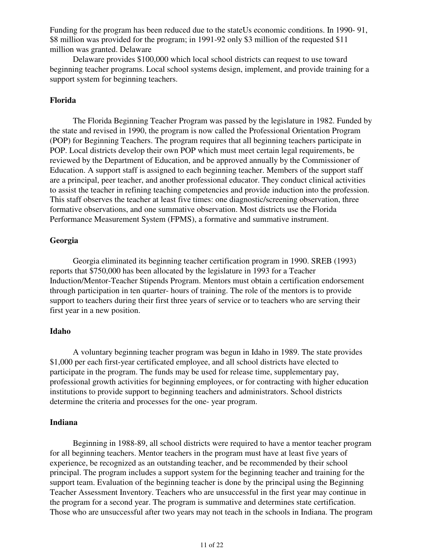Funding for the program has been reduced due to the stateUs economic conditions. In 1990- 91, \$8 million was provided for the program; in 1991-92 only \$3 million of the requested \$11 million was granted. Delaware

 Delaware provides \$100,000 which local school districts can request to use toward beginning teacher programs. Local school systems design, implement, and provide training for a support system for beginning teachers.

# **Florida**

 The Florida Beginning Teacher Program was passed by the legislature in 1982. Funded by the state and revised in 1990, the program is now called the Professional Orientation Program (POP) for Beginning Teachers. The program requires that all beginning teachers participate in POP. Local districts develop their own POP which must meet certain legal requirements, be reviewed by the Department of Education, and be approved annually by the Commissioner of Education. A support staff is assigned to each beginning teacher. Members of the support staff are a principal, peer teacher, and another professional educator. They conduct clinical activities to assist the teacher in refining teaching competencies and provide induction into the profession. This staff observes the teacher at least five times: one diagnostic/screening observation, three formative observations, and one summative observation. Most districts use the Florida Performance Measurement System (FPMS), a formative and summative instrument.

#### **Georgia**

 Georgia eliminated its beginning teacher certification program in 1990. SREB (1993) reports that \$750,000 has been allocated by the legislature in 1993 for a Teacher Induction/Mentor-Teacher Stipends Program. Mentors must obtain a certification endorsement through participation in ten quarter- hours of training. The role of the mentors is to provide support to teachers during their first three years of service or to teachers who are serving their first year in a new position.

#### **Idaho**

 A voluntary beginning teacher program was begun in Idaho in 1989. The state provides \$1,000 per each first-year certificated employee, and all school districts have elected to participate in the program. The funds may be used for release time, supplementary pay, professional growth activities for beginning employees, or for contracting with higher education institutions to provide support to beginning teachers and administrators. School districts determine the criteria and processes for the one- year program.

#### **Indiana**

 Beginning in 1988-89, all school districts were required to have a mentor teacher program for all beginning teachers. Mentor teachers in the program must have at least five years of experience, be recognized as an outstanding teacher, and be recommended by their school principal. The program includes a support system for the beginning teacher and training for the support team. Evaluation of the beginning teacher is done by the principal using the Beginning Teacher Assessment Inventory. Teachers who are unsuccessful in the first year may continue in the program for a second year. The program is summative and determines state certification. Those who are unsuccessful after two years may not teach in the schools in Indiana. The program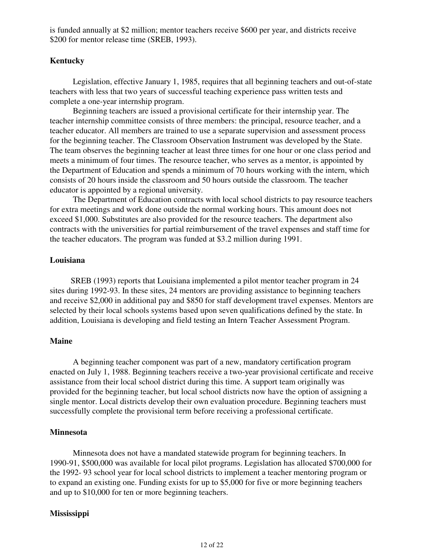is funded annually at \$2 million; mentor teachers receive \$600 per year, and districts receive \$200 for mentor release time (SREB, 1993).

### **Kentucky**

 Legislation, effective January 1, 1985, requires that all beginning teachers and out-of-state teachers with less that two years of successful teaching experience pass written tests and complete a one-year internship program.

 Beginning teachers are issued a provisional certificate for their internship year. The teacher internship committee consists of three members: the principal, resource teacher, and a teacher educator. All members are trained to use a separate supervision and assessment process for the beginning teacher. The Classroom Observation Instrument was developed by the State. The team observes the beginning teacher at least three times for one hour or one class period and meets a minimum of four times. The resource teacher, who serves as a mentor, is appointed by the Department of Education and spends a minimum of 70 hours working with the intern, which consists of 20 hours inside the classroom and 50 hours outside the classroom. The teacher educator is appointed by a regional university.

 The Department of Education contracts with local school districts to pay resource teachers for extra meetings and work done outside the normal working hours. This amount does not exceed \$1,000. Substitutes are also provided for the resource teachers. The department also contracts with the universities for partial reimbursement of the travel expenses and staff time for the teacher educators. The program was funded at \$3.2 million during 1991.

#### **Louisiana**

SREB (1993) reports that Louisiana implemented a pilot mentor teacher program in 24 sites during 1992-93. In these sites, 24 mentors are providing assistance to beginning teachers and receive \$2,000 in additional pay and \$850 for staff development travel expenses. Mentors are selected by their local schools systems based upon seven qualifications defined by the state. In addition, Louisiana is developing and field testing an Intern Teacher Assessment Program.

#### **Maine**

 A beginning teacher component was part of a new, mandatory certification program enacted on July 1, 1988. Beginning teachers receive a two-year provisional certificate and receive assistance from their local school district during this time. A support team originally was provided for the beginning teacher, but local school districts now have the option of assigning a single mentor. Local districts develop their own evaluation procedure. Beginning teachers must successfully complete the provisional term before receiving a professional certificate.

#### **Minnesota**

 Minnesota does not have a mandated statewide program for beginning teachers. In 1990-91, \$500,000 was available for local pilot programs. Legislation has allocated \$700,000 for the 1992- 93 school year for local school districts to implement a teacher mentoring program or to expand an existing one. Funding exists for up to \$5,000 for five or more beginning teachers and up to \$10,000 for ten or more beginning teachers.

#### **Mississippi**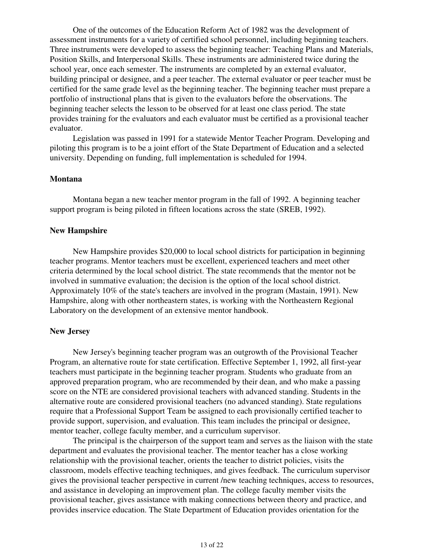One of the outcomes of the Education Reform Act of 1982 was the development of assessment instruments for a variety of certified school personnel, including beginning teachers. Three instruments were developed to assess the beginning teacher: Teaching Plans and Materials, Position Skills, and Interpersonal Skills. These instruments are administered twice during the school year, once each semester. The instruments are completed by an external evaluator, building principal or designee, and a peer teacher. The external evaluator or peer teacher must be certified for the same grade level as the beginning teacher. The beginning teacher must prepare a portfolio of instructional plans that is given to the evaluators before the observations. The beginning teacher selects the lesson to be observed for at least one class period. The state provides training for the evaluators and each evaluator must be certified as a provisional teacher evaluator.

 Legislation was passed in 1991 for a statewide Mentor Teacher Program. Developing and piloting this program is to be a joint effort of the State Department of Education and a selected university. Depending on funding, full implementation is scheduled for 1994.

#### **Montana**

 Montana began a new teacher mentor program in the fall of 1992. A beginning teacher support program is being piloted in fifteen locations across the state (SREB, 1992).

#### **New Hampshire**

 New Hampshire provides \$20,000 to local school districts for participation in beginning teacher programs. Mentor teachers must be excellent, experienced teachers and meet other criteria determined by the local school district. The state recommends that the mentor not be involved in summative evaluation; the decision is the option of the local school district. Approximately 10% of the state's teachers are involved in the program (Mastain, 1991). New Hampshire, along with other northeastern states, is working with the Northeastern Regional Laboratory on the development of an extensive mentor handbook.

#### **New Jersey**

 New Jersey's beginning teacher program was an outgrowth of the Provisional Teacher Program, an alternative route for state certification. Effective September 1, 1992, all first-year teachers must participate in the beginning teacher program. Students who graduate from an approved preparation program, who are recommended by their dean, and who make a passing score on the NTE are considered provisional teachers with advanced standing. Students in the alternative route are considered provisional teachers (no advanced standing). State regulations require that a Professional Support Team be assigned to each provisionally certified teacher to provide support, supervision, and evaluation. This team includes the principal or designee, mentor teacher, college faculty member, and a curriculum supervisor.

 The principal is the chairperson of the support team and serves as the liaison with the state department and evaluates the provisional teacher. The mentor teacher has a close working relationship with the provisional teacher, orients the teacher to district policies, visits the classroom, models effective teaching techniques, and gives feedback. The curriculum supervisor gives the provisional teacher perspective in current /new teaching techniques, access to resources, and assistance in developing an improvement plan. The college faculty member visits the provisional teacher, gives assistance with making connections between theory and practice, and provides inservice education. The State Department of Education provides orientation for the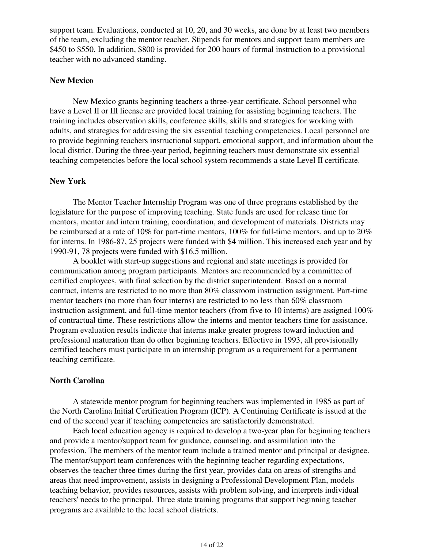support team. Evaluations, conducted at 10, 20, and 30 weeks, are done by at least two members of the team, excluding the mentor teacher. Stipends for mentors and support team members are \$450 to \$550. In addition, \$800 is provided for 200 hours of formal instruction to a provisional teacher with no advanced standing.

#### **New Mexico**

 New Mexico grants beginning teachers a three-year certificate. School personnel who have a Level II or III license are provided local training for assisting beginning teachers. The training includes observation skills, conference skills, skills and strategies for working with adults, and strategies for addressing the six essential teaching competencies. Local personnel are to provide beginning teachers instructional support, emotional support, and information about the local district. During the three-year period, beginning teachers must demonstrate six essential teaching competencies before the local school system recommends a state Level II certificate.

#### **New York**

 The Mentor Teacher Internship Program was one of three programs established by the legislature for the purpose of improving teaching. State funds are used for release time for mentors, mentor and intern training, coordination, and development of materials. Districts may be reimbursed at a rate of 10% for part-time mentors, 100% for full-time mentors, and up to 20% for interns. In 1986-87, 25 projects were funded with \$4 million. This increased each year and by 1990-91, 78 projects were funded with \$16.5 million.

 A booklet with start-up suggestions and regional and state meetings is provided for communication among program participants. Mentors are recommended by a committee of certified employees, with final selection by the district superintendent. Based on a normal contract, interns are restricted to no more than 80% classroom instruction assignment. Part-time mentor teachers (no more than four interns) are restricted to no less than 60% classroom instruction assignment, and full-time mentor teachers (from five to 10 interns) are assigned 100% of contractual time. These restrictions allow the interns and mentor teachers time for assistance. Program evaluation results indicate that interns make greater progress toward induction and professional maturation than do other beginning teachers. Effective in 1993, all provisionally certified teachers must participate in an internship program as a requirement for a permanent teaching certificate.

#### **North Carolina**

 A statewide mentor program for beginning teachers was implemented in 1985 as part of the North Carolina Initial Certification Program (ICP). A Continuing Certificate is issued at the end of the second year if teaching competencies are satisfactorily demonstrated.

 Each local education agency is required to develop a two-year plan for beginning teachers and provide a mentor/support team for guidance, counseling, and assimilation into the profession. The members of the mentor team include a trained mentor and principal or designee. The mentor/support team conferences with the beginning teacher regarding expectations, observes the teacher three times during the first year, provides data on areas of strengths and areas that need improvement, assists in designing a Professional Development Plan, models teaching behavior, provides resources, assists with problem solving, and interprets individual teachers' needs to the principal. Three state training programs that support beginning teacher programs are available to the local school districts.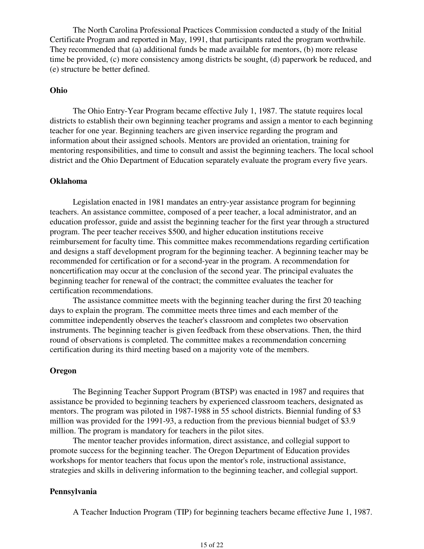The North Carolina Professional Practices Commission conducted a study of the Initial Certificate Program and reported in May, 1991, that participants rated the program worthwhile. They recommended that (a) additional funds be made available for mentors, (b) more release time be provided, (c) more consistency among districts be sought, (d) paperwork be reduced, and (e) structure be better defined.

#### **Ohio**

 The Ohio Entry-Year Program became effective July 1, 1987. The statute requires local districts to establish their own beginning teacher programs and assign a mentor to each beginning teacher for one year. Beginning teachers are given inservice regarding the program and information about their assigned schools. Mentors are provided an orientation, training for mentoring responsibilities, and time to consult and assist the beginning teachers. The local school district and the Ohio Department of Education separately evaluate the program every five years.

#### **Oklahoma**

 Legislation enacted in 1981 mandates an entry-year assistance program for beginning teachers. An assistance committee, composed of a peer teacher, a local administrator, and an education professor, guide and assist the beginning teacher for the first year through a structured program. The peer teacher receives \$500, and higher education institutions receive reimbursement for faculty time. This committee makes recommendations regarding certification and designs a staff development program for the beginning teacher. A beginning teacher may be recommended for certification or for a second-year in the program. A recommendation for noncertification may occur at the conclusion of the second year. The principal evaluates the beginning teacher for renewal of the contract; the committee evaluates the teacher for certification recommendations.

 The assistance committee meets with the beginning teacher during the first 20 teaching days to explain the program. The committee meets three times and each member of the committee independently observes the teacher's classroom and completes two observation instruments. The beginning teacher is given feedback from these observations. Then, the third round of observations is completed. The committee makes a recommendation concerning certification during its third meeting based on a majority vote of the members.

#### **Oregon**

 The Beginning Teacher Support Program (BTSP) was enacted in 1987 and requires that assistance be provided to beginning teachers by experienced classroom teachers, designated as mentors. The program was piloted in 1987-1988 in 55 school districts. Biennial funding of \$3 million was provided for the 1991-93, a reduction from the previous biennial budget of \$3.9 million. The program is mandatory for teachers in the pilot sites.

 The mentor teacher provides information, direct assistance, and collegial support to promote success for the beginning teacher. The Oregon Department of Education provides workshops for mentor teachers that focus upon the mentor's role, instructional assistance, strategies and skills in delivering information to the beginning teacher, and collegial support.

#### **Pennsylvania**

A Teacher Induction Program (TIP) for beginning teachers became effective June 1, 1987.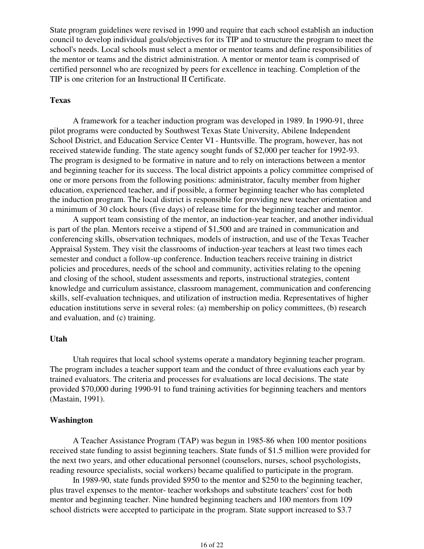State program guidelines were revised in 1990 and require that each school establish an induction council to develop individual goals/objectives for its TIP and to structure the program to meet the school's needs. Local schools must select a mentor or mentor teams and define responsibilities of the mentor or teams and the district administration. A mentor or mentor team is comprised of certified personnel who are recognized by peers for excellence in teaching. Completion of the TIP is one criterion for an Instructional II Certificate.

# **Texas**

 A framework for a teacher induction program was developed in 1989. In 1990-91, three pilot programs were conducted by Southwest Texas State University, Abilene Independent School District, and Education Service Center VI - Huntsville. The program, however, has not received statewide funding. The state agency sought funds of \$2,000 per teacher for 1992-93. The program is designed to be formative in nature and to rely on interactions between a mentor and beginning teacher for its success. The local district appoints a policy committee comprised of one or more persons from the following positions: administrator, faculty member from higher education, experienced teacher, and if possible, a former beginning teacher who has completed the induction program. The local district is responsible for providing new teacher orientation and a minimum of 30 clock hours (five days) of release time for the beginning teacher and mentor.

 A support team consisting of the mentor, an induction-year teacher, and another individual is part of the plan. Mentors receive a stipend of \$1,500 and are trained in communication and conferencing skills, observation techniques, models of instruction, and use of the Texas Teacher Appraisal System. They visit the classrooms of induction-year teachers at least two times each semester and conduct a follow-up conference. Induction teachers receive training in district policies and procedures, needs of the school and community, activities relating to the opening and closing of the school, student assessments and reports, instructional strategies, content knowledge and curriculum assistance, classroom management, communication and conferencing skills, self-evaluation techniques, and utilization of instruction media. Representatives of higher education institutions serve in several roles: (a) membership on policy committees, (b) research and evaluation, and (c) training.

#### **Utah**

 Utah requires that local school systems operate a mandatory beginning teacher program. The program includes a teacher support team and the conduct of three evaluations each year by trained evaluators. The criteria and processes for evaluations are local decisions. The state provided \$70,000 during 1990-91 to fund training activities for beginning teachers and mentors (Mastain, 1991).

### **Washington**

 A Teacher Assistance Program (TAP) was begun in 1985-86 when 100 mentor positions received state funding to assist beginning teachers. State funds of \$1.5 million were provided for the next two years, and other educational personnel (counselors, nurses, school psychologists, reading resource specialists, social workers) became qualified to participate in the program.

 In 1989-90, state funds provided \$950 to the mentor and \$250 to the beginning teacher, plus travel expenses to the mentor- teacher workshops and substitute teachers' cost for both mentor and beginning teacher. Nine hundred beginning teachers and 100 mentors from 109 school districts were accepted to participate in the program. State support increased to \$3.7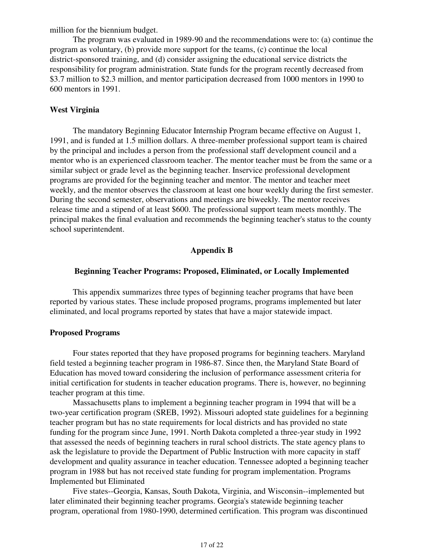million for the biennium budget.

 The program was evaluated in 1989-90 and the recommendations were to: (a) continue the program as voluntary, (b) provide more support for the teams, (c) continue the local district-sponsored training, and (d) consider assigning the educational service districts the responsibility for program administration. State funds for the program recently decreased from \$3.7 million to \$2.3 million, and mentor participation decreased from 1000 mentors in 1990 to 600 mentors in 1991.

#### **West Virginia**

 The mandatory Beginning Educator Internship Program became effective on August 1, 1991, and is funded at 1.5 million dollars. A three-member professional support team is chaired by the principal and includes a person from the professional staff development council and a mentor who is an experienced classroom teacher. The mentor teacher must be from the same or a similar subject or grade level as the beginning teacher. Inservice professional development programs are provided for the beginning teacher and mentor. The mentor and teacher meet weekly, and the mentor observes the classroom at least one hour weekly during the first semester. During the second semester, observations and meetings are biweekly. The mentor receives release time and a stipend of at least \$600. The professional support team meets monthly. The principal makes the final evaluation and recommends the beginning teacher's status to the county school superintendent.

## **Appendix B**

# **Beginning Teacher Programs: Proposed, Eliminated, or Locally Implemented**

 This appendix summarizes three types of beginning teacher programs that have been reported by various states. These include proposed programs, programs implemented but later eliminated, and local programs reported by states that have a major statewide impact.

#### **Proposed Programs**

 Four states reported that they have proposed programs for beginning teachers. Maryland field tested a beginning teacher program in 1986-87. Since then, the Maryland State Board of Education has moved toward considering the inclusion of performance assessment criteria for initial certification for students in teacher education programs. There is, however, no beginning teacher program at this time.

 Massachusetts plans to implement a beginning teacher program in 1994 that will be a two-year certification program (SREB, 1992). Missouri adopted state guidelines for a beginning teacher program but has no state requirements for local districts and has provided no state funding for the program since June, 1991. North Dakota completed a three-year study in 1992 that assessed the needs of beginning teachers in rural school districts. The state agency plans to ask the legislature to provide the Department of Public Instruction with more capacity in staff development and quality assurance in teacher education. Tennessee adopted a beginning teacher program in 1988 but has not received state funding for program implementation. Programs Implemented but Eliminated

 Five states--Georgia, Kansas, South Dakota, Virginia, and Wisconsin--implemented but later eliminated their beginning teacher programs. Georgia's statewide beginning teacher program, operational from 1980-1990, determined certification. This program was discontinued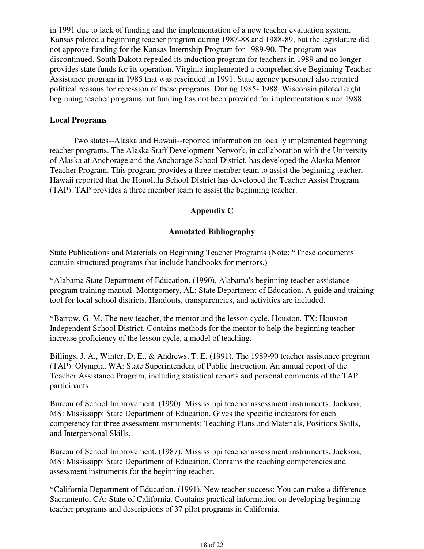in 1991 due to lack of funding and the implementation of a new teacher evaluation system. Kansas piloted a beginning teacher program during 1987-88 and 1988-89, but the legislature did not approve funding for the Kansas Internship Program for 1989-90. The program was discontinued. South Dakota repealed its induction program for teachers in 1989 and no longer provides state funds for its operation. Virginia implemented a comprehensive Beginning Teacher Assistance program in 1985 that was rescinded in 1991. State agency personnel also reported political reasons for recession of these programs. During 1985- 1988, Wisconsin piloted eight beginning teacher programs but funding has not been provided for implementation since 1988.

### **Local Programs**

 Two states--Alaska and Hawaii--reported information on locally implemented beginning teacher programs. The Alaska Staff Development Network, in collaboration with the University of Alaska at Anchorage and the Anchorage School District, has developed the Alaska Mentor Teacher Program. This program provides a three-member team to assist the beginning teacher. Hawaii reported that the Honolulu School District has developed the Teacher Assist Program (TAP). TAP provides a three member team to assist the beginning teacher.

# **Appendix C**

# **Annotated Bibliography**

State Publications and Materials on Beginning Teacher Programs (Note: \*These documents contain structured programs that include handbooks for mentors.)

\*Alabama State Department of Education. (1990). Alabama's beginning teacher assistance program training manual. Montgomery, AL: State Department of Education. A guide and training tool for local school districts. Handouts, transparencies, and activities are included.

\*Barrow, G. M. The new teacher, the mentor and the lesson cycle. Houston, TX: Houston Independent School District. Contains methods for the mentor to help the beginning teacher increase proficiency of the lesson cycle, a model of teaching.

Billings, J. A., Winter, D. E., & Andrews, T. E. (1991). The 1989-90 teacher assistance program (TAP). Olympia, WA: State Superintendent of Public Instruction. An annual report of the Teacher Assistance Program, including statistical reports and personal comments of the TAP participants.

Bureau of School Improvement. (1990). Mississippi teacher assessment instruments. Jackson, MS: Mississippi State Department of Education. Gives the specific indicators for each competency for three assessment instruments: Teaching Plans and Materials, Positions Skills, and Interpersonal Skills.

Bureau of School Improvement. (1987). Mississippi teacher assessment instruments. Jackson, MS: Mississippi State Department of Education. Contains the teaching competencies and assessment instruments for the beginning teacher.

\*California Department of Education. (1991). New teacher success: You can make a difference. Sacramento, CA: State of California. Contains practical information on developing beginning teacher programs and descriptions of 37 pilot programs in California.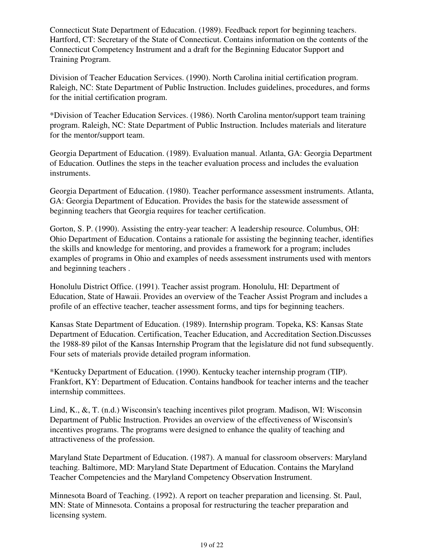Connecticut State Department of Education. (1989). Feedback report for beginning teachers. Hartford, CT: Secretary of the State of Connecticut. Contains information on the contents of the Connecticut Competency Instrument and a draft for the Beginning Educator Support and Training Program.

Division of Teacher Education Services. (1990). North Carolina initial certification program. Raleigh, NC: State Department of Public Instruction. Includes guidelines, procedures, and forms for the initial certification program.

\*Division of Teacher Education Services. (1986). North Carolina mentor/support team training program. Raleigh, NC: State Department of Public Instruction. Includes materials and literature for the mentor/support team.

Georgia Department of Education. (1989). Evaluation manual. Atlanta, GA: Georgia Department of Education. Outlines the steps in the teacher evaluation process and includes the evaluation instruments.

Georgia Department of Education. (1980). Teacher performance assessment instruments. Atlanta, GA: Georgia Department of Education. Provides the basis for the statewide assessment of beginning teachers that Georgia requires for teacher certification.

Gorton, S. P. (1990). Assisting the entry-year teacher: A leadership resource. Columbus, OH: Ohio Department of Education. Contains a rationale for assisting the beginning teacher, identifies the skills and knowledge for mentoring, and provides a framework for a program; includes examples of programs in Ohio and examples of needs assessment instruments used with mentors and beginning teachers .

Honolulu District Office. (1991). Teacher assist program. Honolulu, HI: Department of Education, State of Hawaii. Provides an overview of the Teacher Assist Program and includes a profile of an effective teacher, teacher assessment forms, and tips for beginning teachers.

Kansas State Department of Education. (1989). Internship program. Topeka, KS: Kansas State Department of Education. Certification, Teacher Education, and Accreditation Section.Discusses the 1988-89 pilot of the Kansas Internship Program that the legislature did not fund subsequently. Four sets of materials provide detailed program information.

\*Kentucky Department of Education. (1990). Kentucky teacher internship program (TIP). Frankfort, KY: Department of Education. Contains handbook for teacher interns and the teacher internship committees.

Lind, K., &, T. (n.d.) Wisconsin's teaching incentives pilot program. Madison, WI: Wisconsin Department of Public Instruction. Provides an overview of the effectiveness of Wisconsin's incentives programs. The programs were designed to enhance the quality of teaching and attractiveness of the profession.

Maryland State Department of Education. (1987). A manual for classroom observers: Maryland teaching. Baltimore, MD: Maryland State Department of Education. Contains the Maryland Teacher Competencies and the Maryland Competency Observation Instrument.

Minnesota Board of Teaching. (1992). A report on teacher preparation and licensing. St. Paul, MN: State of Minnesota. Contains a proposal for restructuring the teacher preparation and licensing system.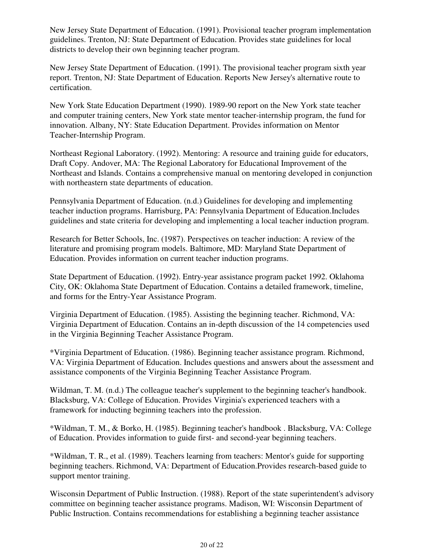New Jersey State Department of Education. (1991). Provisional teacher program implementation guidelines. Trenton, NJ: State Department of Education. Provides state guidelines for local districts to develop their own beginning teacher program.

New Jersey State Department of Education. (1991). The provisional teacher program sixth year report. Trenton, NJ: State Department of Education. Reports New Jersey's alternative route to certification.

New York State Education Department (1990). 1989-90 report on the New York state teacher and computer training centers, New York state mentor teacher-internship program, the fund for innovation. Albany, NY: State Education Department. Provides information on Mentor Teacher-Internship Program.

Northeast Regional Laboratory. (1992). Mentoring: A resource and training guide for educators, Draft Copy. Andover, MA: The Regional Laboratory for Educational Improvement of the Northeast and Islands. Contains a comprehensive manual on mentoring developed in conjunction with northeastern state departments of education.

Pennsylvania Department of Education. (n.d.) Guidelines for developing and implementing teacher induction programs. Harrisburg, PA: Pennsylvania Department of Education.Includes guidelines and state criteria for developing and implementing a local teacher induction program.

Research for Better Schools, Inc. (1987). Perspectives on teacher induction: A review of the literature and promising program models. Baltimore, MD: Maryland State Department of Education. Provides information on current teacher induction programs.

State Department of Education. (1992). Entry-year assistance program packet 1992. Oklahoma City, OK: Oklahoma State Department of Education. Contains a detailed framework, timeline, and forms for the Entry-Year Assistance Program.

Virginia Department of Education. (1985). Assisting the beginning teacher. Richmond, VA: Virginia Department of Education. Contains an in-depth discussion of the 14 competencies used in the Virginia Beginning Teacher Assistance Program.

\*Virginia Department of Education. (1986). Beginning teacher assistance program. Richmond, VA: Virginia Department of Education. Includes questions and answers about the assessment and assistance components of the Virginia Beginning Teacher Assistance Program.

Wildman, T. M. (n.d.) The colleague teacher's supplement to the beginning teacher's handbook. Blacksburg, VA: College of Education. Provides Virginia's experienced teachers with a framework for inducting beginning teachers into the profession.

\*Wildman, T. M., & Borko, H. (1985). Beginning teacher's handbook . Blacksburg, VA: College of Education. Provides information to guide first- and second-year beginning teachers.

\*Wildman, T. R., et al. (1989). Teachers learning from teachers: Mentor's guide for supporting beginning teachers. Richmond, VA: Department of Education.Provides research-based guide to support mentor training.

Wisconsin Department of Public Instruction. (1988). Report of the state superintendent's advisory committee on beginning teacher assistance programs. Madison, WI: Wisconsin Department of Public Instruction. Contains recommendations for establishing a beginning teacher assistance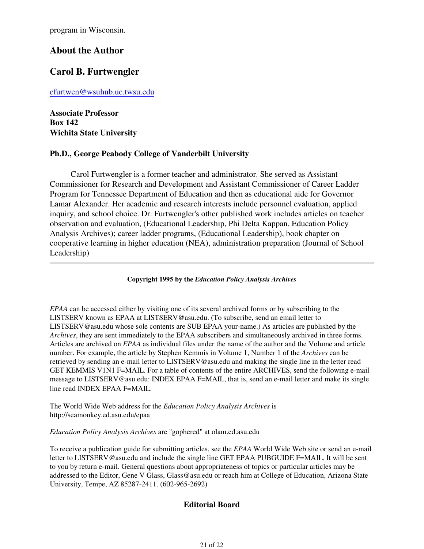program in Wisconsin.

# **About the Author**

# **Carol B. Furtwengler**

cfurtwen@wsuhub.uc.twsu.edu

**Associate Professor Box 142 Wichita State University**

# **Ph.D., George Peabody College of Vanderbilt University**

Carol Furtwengler is a former teacher and administrator. She served as Assistant Commissioner for Research and Development and Assistant Commissioner of Career Ladder Program for Tennessee Department of Education and then as educational aide for Governor Lamar Alexander. Her academic and research interests include personnel evaluation, applied inquiry, and school choice. Dr. Furtwengler's other published work includes articles on teacher observation and evaluation, (Educational Leadership, Phi Delta Kappan, Education Policy Analysis Archives); career ladder programs, (Educational Leadership), book chapter on cooperative learning in higher education (NEA), administration preparation (Journal of School Leadership)

**Copyright 1995 by the** *Education Policy Analysis Archives*

*EPAA* can be accessed either by visiting one of its several archived forms or by subscribing to the LISTSERV known as EPAA at LISTSERV@asu.edu. (To subscribe, send an email letter to LISTSERV@asu.edu whose sole contents are SUB EPAA your-name.) As articles are published by the *Archives*, they are sent immediately to the EPAA subscribers and simultaneously archived in three forms. Articles are archived on *EPAA* as individual files under the name of the author and the Volume and article number. For example, the article by Stephen Kemmis in Volume 1, Number 1 of the *Archives* can be retrieved by sending an e-mail letter to LISTSERV@asu.edu and making the single line in the letter read GET KEMMIS V1N1 F=MAIL. For a table of contents of the entire ARCHIVES, send the following e-mail message to LISTSERV@asu.edu: INDEX EPAA F=MAIL, that is, send an e-mail letter and make its single line read INDEX EPAA F=MAIL.

The World Wide Web address for the *Education Policy Analysis Archives* is http://seamonkey.ed.asu.edu/epaa

*Education Policy Analysis Archives* are "gophered" at olam.ed.asu.edu

To receive a publication guide for submitting articles, see the *EPAA* World Wide Web site or send an e-mail letter to LISTSERV@asu.edu and include the single line GET EPAA PUBGUIDE F=MAIL. It will be sent to you by return e-mail. General questions about appropriateness of topics or particular articles may be addressed to the Editor, Gene V Glass, Glass@asu.edu or reach him at College of Education, Arizona State University, Tempe, AZ 85287-2411. (602-965-2692)

# **Editorial Board**